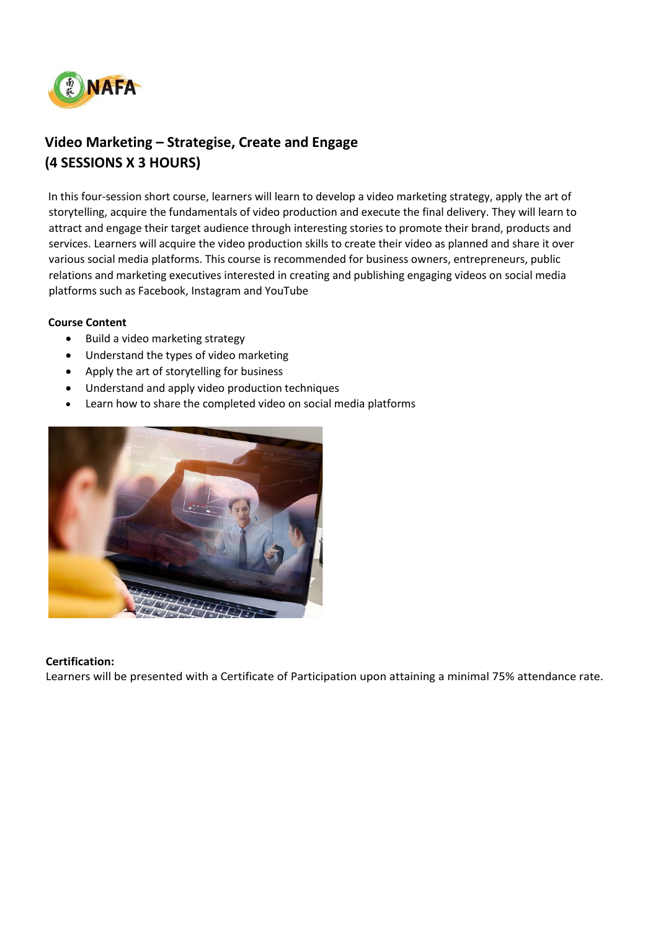

# **Video Marketing – Strategise, Create and Engage (4 SESSIONS X 3 HOURS)**

In this four-session short course, learners will learn to develop a video marketing strategy, apply the art of storytelling, acquire the fundamentals of video production and execute the final delivery. They will learn to attract and engage their target audience through interesting stories to promote their brand, products and services. Learners will acquire the video production skills to create their video as planned and share it over various social media platforms. This course is recommended for business owners, entrepreneurs, public relations and marketing executives interested in creating and publishing engaging videos on social media platforms such as Facebook, Instagram and YouTube

#### **Course Content**

- Build a video marketing strategy
- Understand the types of video marketing
- Apply the art of storytelling for business
- Understand and apply video production techniques
- Learn how to share the completed video on social media platforms



#### **Certification:**

Learners will be presented with a Certificate of Participation upon attaining a minimal 75% attendance rate.